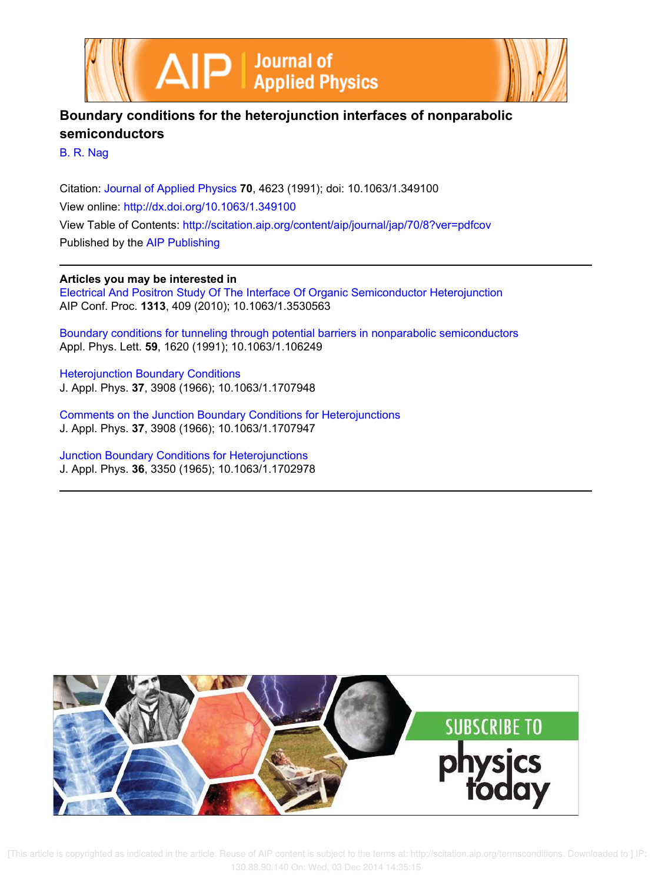



## **Boundary conditions for the heterojunction interfaces of nonparabolic semiconductors**

B. R. Nag

Citation: Journal of Applied Physics **70**, 4623 (1991); doi: 10.1063/1.349100 View online: http://dx.doi.org/10.1063/1.349100 View Table of Contents: http://scitation.aip.org/content/aip/journal/jap/70/8?ver=pdfcov Published by the AIP Publishing

## **Articles you may be interested in**

Electrical And Positron Study Of The Interface Of Organic Semiconductor Heterojunction AIP Conf. Proc. **1313**, 409 (2010); 10.1063/1.3530563

Boundary conditions for tunneling through potential barriers in nonparabolic semiconductors Appl. Phys. Lett. **59**, 1620 (1991); 10.1063/1.106249

Heterojunction Boundary Conditions J. Appl. Phys. **37**, 3908 (1966); 10.1063/1.1707948

Comments on the Junction Boundary Conditions for Heterojunctions J. Appl. Phys. **37**, 3908 (1966); 10.1063/1.1707947

Junction Boundary Conditions for Heterojunctions J. Appl. Phys. **36**, 3350 (1965); 10.1063/1.1702978



 [This article is copyrighted as indicated in the article. Reuse of AIP content is subject to the terms at: http://scitation.aip.org/termsconditions. Downloaded to ] IP: 130.88.90.140 On: Wed, 03 Dec 2014 14:35:15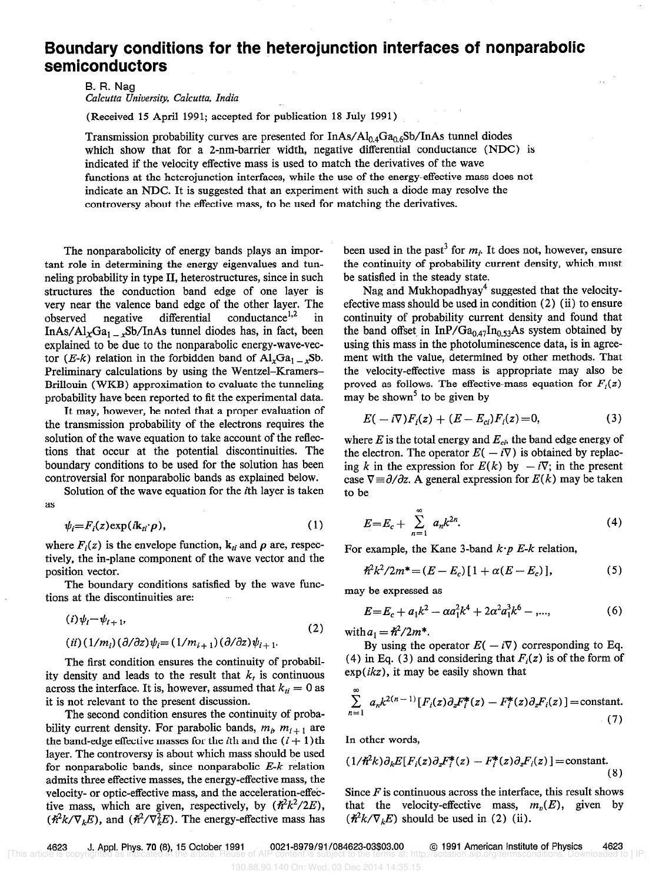## Boundary conditions for the heterojunction interfaces of nonparabolic semiconductors

B. R. Nag Calcutta University, Calcutta, India

(Received 15 April 1991; accepted for publication 18 July 1991)

Transmission probability curves are presented for  $InAs/Al<sub>0.4</sub>Ga<sub>0.6</sub>Sb/InAs tunnel diodes$ which show that for a 2-nm-barrier width, negative differential conductance (NDC) is indicated if the velocity effective mass is used to match the derivatives of the wave functions at the heterojunction interfaces, while the use of the energy-effective mass does not indicate an NDC. It is suggested that an experiment with such a diode may resolve the controversy about the effective mass, to be used for matching the derivatives.

The nonparabolicity of energy bands plays an important role in determining the energy eigenvalues and tunneling probability in type II, heterostructures, since in such structures the conduction band edge of one layer is very near the valence band edge of the other layer. The observed negative differential conductance<sup>1,2</sup> in InAs/Al<sub>x</sub>Ga<sub>1 -x</sub>Sb/InAs tunnel diodes has, in fact, been explained to be due to the nonparabolic energy-wave-vector (*E-k*) relation in the forbidden band of  $Al_xGa_{1-x}Sb$ . Preliminary calculations by using the Wentzel-Kramers-Brillouin (WKB) approximation to evaluate the tunneling probability have been reported to fit the experimental data.

It may, however, be noted that a proper evaluation of the transmission probability of the electrons requires the solution of the wave equation to take account of the reflections that occur at the potential discontinuities. The boundary conditions to be used for the solution has been controversial for nonparabolic bands as explained below.

Solution of the wave equation for the ith layer is taken as

$$
\psi_i = F_i(z) \exp(i\mathbf{k}_{ti} \cdot \boldsymbol{\rho}), \tag{1}
$$

where  $F_i(z)$  is the envelope function,  $k_{ti}$  and  $\rho$  are, respectively, the in-plane component of the wave vector and the position vector.

The boundary conditions satisfied by the wave functions at the discontinuities are:

$$
(i)\psi_i = \psi_{i+1},
$$
  
\n
$$
(ii)(1/m_i)(\partial/\partial z)\psi_i = (1/m_{i+1})(\partial/\partial z)\psi_{i+1}.
$$
\n(2)

The first condition ensures the continuity of probability density and leads to the result that  $k_t$  is continuous across the interface. It is, however, assumed that  $k_{ti} = 0$  as it is not relevant to the present discussion.

The second condition ensures the continuity of probability current density. For parabolic bands,  $m_i$ ,  $m_{i+1}$  are the band-edge effective masses for the *i*th and the  $(i + 1)$ th layer. The controversy is about which mass should be used for nonparabolic bands, since nonparabolic  $E-k$  relation admits three effective masses, the energy-effective mass, the velocity- or optic-effective mass, and the acceleration-effective mass, which are given, respectively, by  $(\hbar^2 k^2 / 2E)$ ,  $(\hbar^2 k/\nabla_k E)$ , and  $(\hbar^2/\nabla_k^2 E)$ . The energy-effective mass has

been used in the past<sup>3</sup> for  $m_i$ . It does not, however, ensure the continuity of probability current density, which must be satisfied in the steady state.

Nag and Mukhopadhyay<sup>4</sup> suggested that the velocityefective mass should be used in condition (2) (ii) to ensure continuity of probability current density and found that the band offset in  $InP/Ga_{0.47}In_{0.53}As$  system obtained by using this mass in the photoluminescence data, is in agreement with the value, determined by other methods. That the velocity-effective mass is appropriate may also be proved as follows. The effective-mass equation for  $F_i(z)$ may be shown<sup>5</sup> to be given by

$$
E(-i\nabla)F_i(z) + (E - E_{ci})F_i(z) = 0,
$$
\n(3)

where  $E$  is the total energy and  $E_{ci}$ , the band edge energy of the electron. The operator  $E(-i\nabla)$  is obtained by replacing k in the expression for  $E(k)$  by  $-i\nabla$ ; in the present case  $\nabla \equiv \partial/\partial z$ . A general expression for  $E(k)$  may be taken to be

$$
E = E_c + \sum_{n=1}^{\infty} a_n k^{2n}.
$$
 (4)

For example, the Kane 3-band  $k \cdot p$  E-k relation,

$$
\hat{\pi}^2 k^2 / 2m^* = (E - E_c) [1 + \alpha (E - E_c)], \qquad (5)
$$

may be expressed as

$$
E = E_c + a_1 k^2 - \alpha a_1^2 k^4 + 2\alpha^2 a_1^3 k^6 - \dots,
$$
 (6)

with  $a_1 = \hbar^2/2m^*$ .

By using the operator  $E(-i\nabla)$  corresponding to Eq. (4) in Eq. (3) and considering that  $F_i(z)$  is of the form of  $exp(ikz)$ , it may be easily shown that

$$
\sum_{n=1}^{\infty} a_n k^{2(n-1)} [F_i(z) \partial_z F_i^*(z) - F_i^*(z) \partial_z F_i(z)] = \text{constant.}
$$
\n(7)

In other words,

$$
(1/\hbar^2 k)\partial_k E[F_i(z)\partial_z F_i^*(z) - F_i^*(z)\partial_z F_i(z)] = \text{constant.}
$$
\n(8)

Since  $F$  is continuous across the interface, this result shows that the velocity-effective mass,  $m_n(E)$ , given by  $(\hbar^2 k/\nabla_k E)$  should be used in (2) (ii).

4623 J. Appl. Phys. 70 (8), 15 October 1991 0021-8979/91/084623-03\$03.00 © 1991 American Institute of Physics 4623<br>He is copyrighted as indicated in the article. Reuse of AIP content is subject to the terms at: http://scit [This article is copyrighted as indicated in the article. Reuse of AIP content is subject to the terms at: http://scitation.aip.org/termsconditions. Downloaded to ] IP: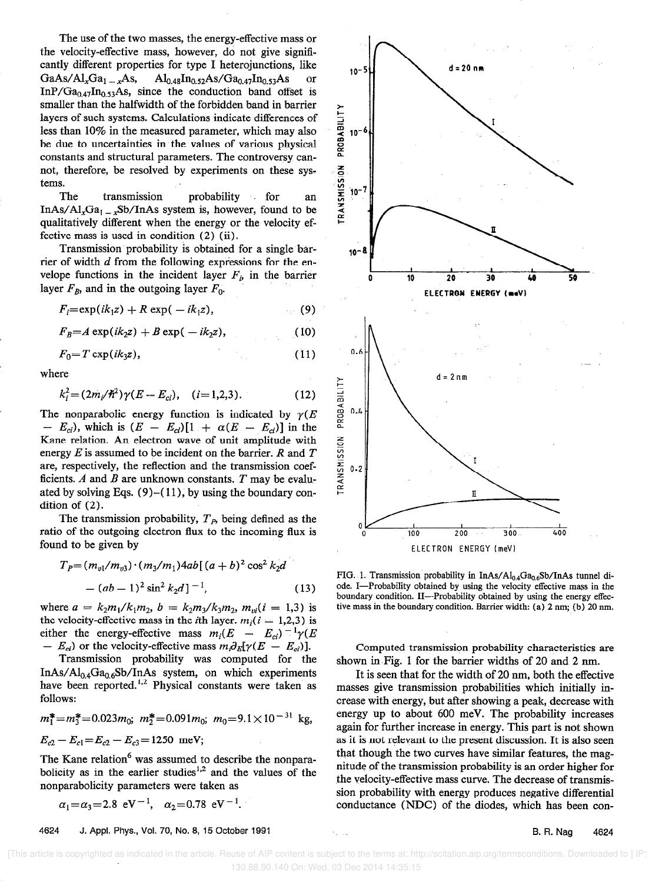The use of the two masses, the energy-effective mass or the velocity-effective mass, however, do not give significantly different properties for type I heterojunctions, like  $GaAs/Al_xGa_1 = _xAs$ ,  $Al_{0.48}In_{0.52}As/Ga_{0.47}In_{0.53}As$  or InP/Ga<sub>0.47</sub>In<sub>0.53</sub>As, since the conduction band offset is smaller than the halfwidth of the forbidden band in barrier layers of such systems. Calculations indicate differences of less than 10% in the measured parameter, which may also be due to uncertainties in the values of various physical constants and structural parameters. The controversy cannot, therefore, be resolved by experiments on these systems.  $\overline{\mathcal{S}}$ tems.<br>The transmission probability for an  $\frac{52}{5}$  10<sup>-7</sup>

InAs/Al<sub>x</sub>Ga<sub>1 - x</sub>Sb/InAs system is, however, found to be qualitatively different when the energy or the velocity effective mass is used in condition (2) (ii).

Transmission probability is obtained for a single barrier of width  $d$  from the following expressions for the envelope functions in the incident layer  $F_i$ , in the barrier layer  $F_B$ , and in the outgoing layer  $F_0$ .

$$
F_i = \exp(ik_1z) + R \exp(-ik_1z), \qquad (9)
$$

$$
F_B = A \exp(ik_2 z) + B \exp(-ik_2 z), \qquad (10)
$$

$$
F_0 = T \exp(ik_3 z), \tag{11}
$$

where

$$
k_i^2 = (2m_i/\hbar^2)\gamma(E - E_{ci}), \quad (i = 1, 2, 3). \tag{12}
$$

The nonparabolic energy function is indicated by  $\gamma(E)$  $- E_{ci}$ , which is  $(E - E_{ci})[1 + \alpha(E - E_{ci})]$  in the Kane relation. An electron wave of unit amplitude with energy  $E$  is assumed to be incident on the barrier.  $R$  and  $T$ are, respectively, the reflection and the transmission coefficients.  $A$  and  $B$  are unknown constants.  $T$  may be evaluated by solving Eqs.  $(9)$ - $(11)$ , by using the boundary condition of (2).

The transmission probability,  $T<sub>p</sub>$ , being defined as the ratio of the outgoing electron flux to the incoming flux is found to be given by

$$
T_P = (m_{v1}/m_{v3}) \cdot (m_3/m_1)4ab[(a+b)^2 \cos^2 k_2d - (ab-1)^2 \sin^2 k_2d]^{-1},
$$
\n(13)

where  $a = k_2m_1/k_1m_2$ ,  $b = k_2m_3/k_3m_2$ ,  $m_{vi}(i = 1,3)$  is the velocity-effective mass in the *i*th layer.  $m_i(i = 1,2,3)$  is either the energy-effective mass  $m_i(E - E_{ci})^{-1} \gamma(E)$  $- E_{ci}$ ) or the velocity-effective mass  $m_i \partial_E[\gamma(E - E_{ci})]$ .

Transmission probability was computed for the  $InAs/Al<sub>0.4</sub>Ga<sub>0.6</sub>Sb/InAs$  system, on which experiments have been reported.<sup>1,2</sup> Physical constants were taken as follows:

$$
m_1^* = m_3^* = 0.023m_0
$$
;  $m_2^* = 0.091m_0$ ;  $m_0 = 9.1 \times 10^{-31}$  kg,  
 $E_{c2} - E_{c1} = E_{c2} - E_{c3} = 1250$  meV;

The Kane relation<sup>6</sup> was assumed to describe the nonparabolicity as in the earlier studies<sup>1,2</sup> and the values of the nonparabolicity parameters were taken as

$$
\alpha_1 = \alpha_3 = 2.8 \text{ eV}^{-1}
$$
,  $\alpha_2 = 0.78 \text{ eV}^{-1}$ .

4624 J. Appl. Phys., Vol. 70, No. 8, 15 October 1991 B. R. Nag 4624



FIG. 1. Transmission probability in InAs/ $Al_{0.4}Ga_{0.6}Sb/InAs$  tunnel diode. I-Probability obtained by using the velocity effective mass in the boundary condition. II-Probability obtained by using the energy effective mass in the boundary condition. Barrier width: (a) 2 nm; (b) 20 nm.

Computed transmission probability characteristics are shown in Fig. 1 for the barrier widths of 20 and 2 nm.

It is seen that for the width of 20 nm, both the effective masses give transmission probabilities which initially increase with energy, but after showing a peak, decrease with energy up to about 600 meV. The probability increases again for further increase in energy. This part is not shown as it is not relevant to the present discussion. It is also seen that though the two curves have similar features, the magnitude of the transmission probability is an order higher for the velocity-effective mass curve. The decrease of transmission probability with energy produces negative differential conductance (NDC) of the diodes, which has been con-